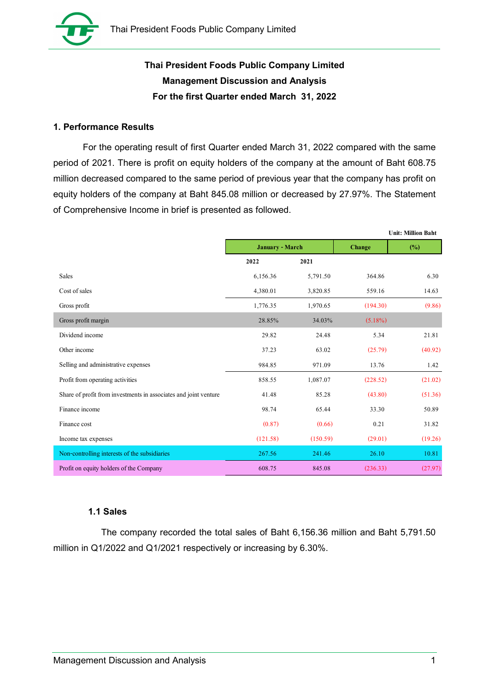

# Thai President Foods Public Company Limited Management Discussion and Analysis For the first Quarter ended March 31, 2022

# 1. Performance Results

| Thai President Foods Public Company Limited                                                   |                 |          |            |                                     |
|-----------------------------------------------------------------------------------------------|-----------------|----------|------------|-------------------------------------|
| Thai President Foods Public Company Limited                                                   |                 |          |            |                                     |
| <b>Management Discussion and Analysis</b>                                                     |                 |          |            |                                     |
| For the first Quarter ended March 31, 2022                                                    |                 |          |            |                                     |
| . Performance Results                                                                         |                 |          |            |                                     |
| For the operating result of first Quarter ended March 31, 2022 compared with the same         |                 |          |            |                                     |
| beriod of 2021. There is profit on equity holders of the company at the amount of Baht 608.75 |                 |          |            |                                     |
| million decreased compared to the same period of previous year that the company has profit on |                 |          |            |                                     |
| equity holders of the company at Baht 845.08 million or decreased by 27.97%. The Statement    |                 |          |            |                                     |
|                                                                                               |                 |          |            |                                     |
| of Comprehensive Income in brief is presented as followed.                                    |                 |          |            |                                     |
|                                                                                               |                 |          |            |                                     |
|                                                                                               | January - March |          | Change     | <b>Unit: Million Baht</b><br>$(\%)$ |
|                                                                                               | 2022            | 2021     |            |                                     |
| Sales                                                                                         | 6,156.36        | 5,791.50 | 364.86     | 6.30                                |
| Cost of sales                                                                                 | 4,380.01        | 3,820.85 | 559.16     | 14.63                               |
| Gross profit                                                                                  | 1,776.35        | 1,970.65 | (194.30)   | (9.86)                              |
| Gross profit margin                                                                           | 28.85%          | 34.03%   | $(5.18\%)$ |                                     |
| Dividend income                                                                               | 29.82           | 24.48    | 5.34       | 21.81                               |
| Other income                                                                                  | 37.23           | 63.02    | (25.79)    | (40.92)                             |
| Selling and administrative expenses                                                           | 984.85          | 971.09   | 13.76      | 1.42                                |
| Profit from operating activities                                                              | 858.55          | 1,087.07 | (228.52)   | (21.02)                             |
| Share of profit from investments in associates and joint venture                              | 41.48           | 85.28    | (43.80)    | (51.36)                             |
| Finance income                                                                                | 98.74           | 65.44    | 33.30      | 50.89                               |
| Finance cost                                                                                  | (0.87)          | (0.66)   | 0.21       | 31.82                               |
| Income tax expenses                                                                           | (121.58)        | (150.59) | (29.01)    | (19.26)                             |
| Non-controlling interests of the subsidiaries                                                 | 267.56          | 241.46   | 26.10      | 10.81                               |

# 1.1 Sales

The company recorded the total sales of Baht 6,156.36 million and Baht 5,791.50 million in Q1/2022 and Q1/2021 respectively or increasing by 6.30%.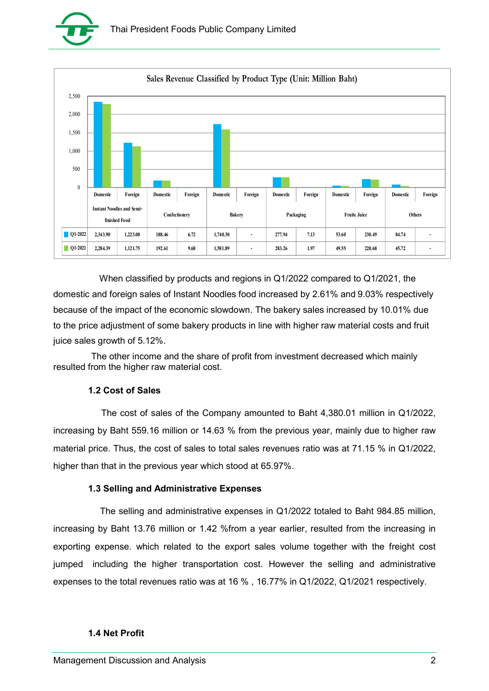



 When classified by products and regions in Q1/2022 compared to Q1/2021, the domestic and foreign sales of Instant Noodles food increased by 2.61% and 9.03% respectively because of the impact of the economic slowdown. The bakery sales increased by 10.01% due to the price adjustment of some bakery products in line with higher raw material costs and fruit juice sales growth of 5.12%.

 The other income and the share of profit from investment decreased which mainly resulted from the higher raw material cost.

### 1.2 Cost of Sales

The cost of sales of the Company amounted to Baht 4,380.01 million in Q1/2022, increasing by Baht 559.16 million or 14.63 % from the previous year, mainly due to higher raw material price. Thus, the cost of sales to total sales revenues ratio was at 71.15 % in Q1/2022, higher than that in the previous year which stood at 65.97%.

#### 1.3 Selling and Administrative Expenses

The selling and administrative expenses in Q1/2022 totaled to Baht 984.85 million, increasing by Baht 13.76 million or 1.42 %from a year earlier, resulted from the increasing in exporting expense. which related to the export sales volume together with the freight cost jumped including the higher transportation cost. However the selling and administrative expenses to the total revenues ratio was at 16 % , 16.77% in Q1/2022, Q1/2021 respectively.

#### 1.4 Net Profit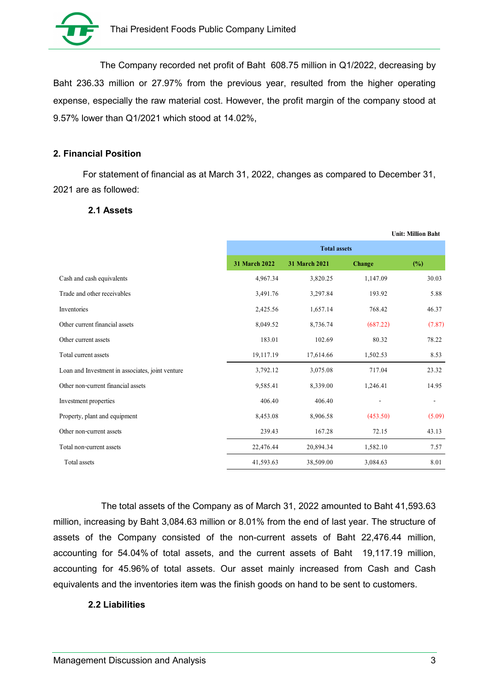

#### 2. Financial Position

#### 2.1 Assets

| Thai President Foods Public Company Limited                                                  |               |                     |          |                           |
|----------------------------------------------------------------------------------------------|---------------|---------------------|----------|---------------------------|
|                                                                                              |               |                     |          |                           |
| The Company recorded net profit of Baht 608.75 million in Q1/2022, decreasing by             |               |                     |          |                           |
| laht 236.33 million or 27.97% from the previous year, resulted from the higher operating     |               |                     |          |                           |
| xpense, especially the raw material cost. However, the profit margin of the company stood at |               |                     |          |                           |
| .57% lower than Q1/2021 which stood at 14.02%,                                               |               |                     |          |                           |
|                                                                                              |               |                     |          |                           |
| . Financial Position                                                                         |               |                     |          |                           |
|                                                                                              |               |                     |          |                           |
| For statement of financial as at March 31, 2022, changes as compared to December 31,         |               |                     |          |                           |
| :021 are as followed:                                                                        |               |                     |          |                           |
| 2.1 Assets                                                                                   |               |                     |          |                           |
|                                                                                              |               |                     |          | <b>Unit: Million Baht</b> |
|                                                                                              |               | <b>Total assets</b> |          |                           |
|                                                                                              | 31 March 2022 | 31 March 2021       | Change   | (%)                       |
| Cash and cash equivalents                                                                    | 4,967.34      | 3,820.25            | 1,147.09 | 30.03                     |
| Trade and other receivables                                                                  | 3,491.76      | 3,297.84            | 193.92   | 5.88                      |
| Inventories                                                                                  | 2,425.56      | 1,657.14            | 768.42   | 46.37                     |
| Other current financial assets                                                               | 8,049.52      | 8,736.74            | (687.22) | (7.87)                    |
| Other current assets                                                                         | 183.01        | 102.69              | 80.32    | 78.22                     |
| Total current assets                                                                         | 19,117.19     | 17,614.66           | 1,502.53 | 8.53                      |
| Loan and Investment in associates, joint venture                                             | 3,792.12      | 3,075.08            | 717.04   | 23.32                     |
| Other non-current financial assets                                                           | 9,585.41      | 8,339.00            | 1,246.41 | 14.95                     |
| Investment properties                                                                        | 406.40        | 406.40              | $\sim$   | $\sim$                    |
| Property, plant and equipment                                                                | 8,453.08      | 8,906.58            | (453.50) | (5.09)                    |
| Other non-current assets                                                                     | 239.43        | 167.28              | 72.15    | 43.13                     |
|                                                                                              |               |                     |          |                           |
| Total non-current assets                                                                     | 22,476.44     | 20,894.34           | 1,582.10 | 7.57                      |

The total assets of the Company as of March 31, 2022 amounted to Baht 41,593.63 million, increasing by Baht 3,084.63 million or 8.01% from the end of last year. The structure of assets of the Company consisted of the non-current assets of Baht 22,476.44 million, accounting for 54.04% of total assets, and the current assets of Baht 19,117.19 million, accounting for 45.96% of total assets. Our asset mainly increased from Cash and Cash equivalents and the inventories item was the finish goods on hand to be sent to customers.

#### 2.2 Liabilities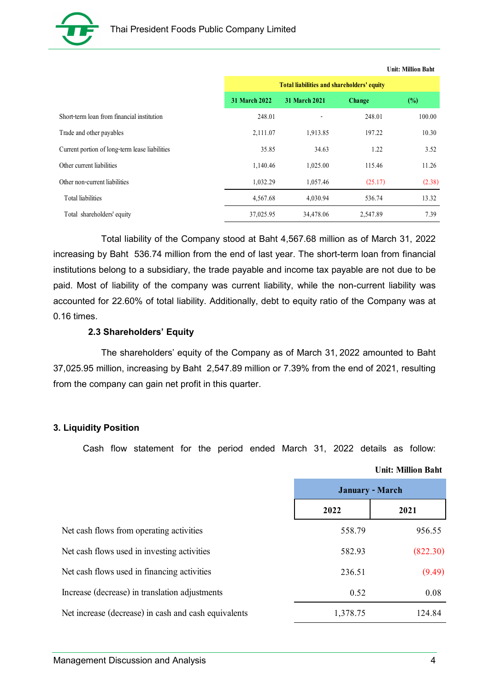

| Thai President Foods Public Company Limited    |                             |                                            |         |                           |
|------------------------------------------------|-----------------------------|--------------------------------------------|---------|---------------------------|
|                                                |                             |                                            |         |                           |
|                                                |                             |                                            |         | <b>Unit: Million Baht</b> |
|                                                | 31 March 2022 31 March 2021 | Total liabilities and shareholders' equity | Change  | $(\%)$                    |
| Short-term loan from financial institution     | 248.01                      | $\sim$                                     | 248.01  | 100.00                    |
| Trade and other payables                       | 2,111.07                    | 1,913.85                                   | 197.22  | 10.30                     |
| Current portion of long-term lease liabilities | 35.85                       | 34.63                                      | 1.22    | 3.52                      |
|                                                | 1,140.46                    | 1,025.00                                   | 115.46  | 11.26                     |
| Other non-current liabilities                  | 1,032.29                    | 1,057.46                                   | (25.17) | (2.38)                    |
| Other current liabilities<br>Total liabilities | 4,567.68                    | 4,030.94                                   | 536.74  | 13.32                     |

#### 2.3 Shareholders' Equity

#### 3. Liquidity Position

| Current portion of long-term lease liabilities                                                   | 35.85     | 34.63     | 1.22            | 3.52                      |
|--------------------------------------------------------------------------------------------------|-----------|-----------|-----------------|---------------------------|
| Other current liabilities                                                                        | 1,140.46  | 1,025.00  | 115.46          | 11.26                     |
| Other non-current liabilities                                                                    | 1,032.29  | 1,057.46  | (25.17)         | (2.38)                    |
| Total liabilities                                                                                | 4,567.68  | 4,030.94  | 536.74          | 13.32                     |
| Total shareholders' equity                                                                       | 37,025.95 | 34,478.06 | 2,547.89        | 7.39                      |
| Total liability of the Company stood at Baht 4,567.68 million as of March 31, 2022               |           |           |                 |                           |
| creasing by Baht 536.74 million from the end of last year. The short-term loan from financial    |           |           |                 |                           |
| istitutions belong to a subsidiary, the trade payable and income tax payable are not due to be   |           |           |                 |                           |
| aid. Most of liability of the company was current liability, while the non-current liability was |           |           |                 |                           |
| ccounted for 22.60% of total liability. Additionally, debt to equity ratio of the Company was at |           |           |                 |                           |
| .16 times.                                                                                       |           |           |                 |                           |
| 2.3 Shareholders' Equity                                                                         |           |           |                 |                           |
| The shareholders' equity of the Company as of March 31, 2022 amounted to Baht                    |           |           |                 |                           |
| 7,025.95 million, increasing by Baht 2,547.89 million or 7.39% from the end of 2021, resulting   |           |           |                 |                           |
| om the company can gain net profit in this quarter.                                              |           |           |                 |                           |
|                                                                                                  |           |           |                 |                           |
|                                                                                                  |           |           |                 |                           |
| <b>Liquidity Position</b>                                                                        |           |           |                 |                           |
| Cash flow statement for the period ended March 31, 2022 details as follow:                       |           |           |                 |                           |
|                                                                                                  |           |           |                 | <b>Unit: Million Baht</b> |
|                                                                                                  |           |           | January - March |                           |
|                                                                                                  |           | 2022      |                 | 2021                      |
| Net cash flows from operating activities                                                         |           | 558.79    |                 | 956.55                    |
| Net cash flows used in investing activities                                                      |           | 582.93    |                 | (822.30)                  |
| Net cash flows used in financing activities                                                      |           | 236.51    |                 | (9.49)                    |
| Increase (decrease) in translation adjustments                                                   |           |           | 0.52            | 0.08                      |
| Net increase (decrease) in cash and cash equivalents                                             |           | 1,378.75  |                 | 124.84                    |
|                                                                                                  |           |           |                 |                           |
|                                                                                                  |           |           |                 |                           |
| lanagement Discussion and Analysis                                                               |           |           |                 | 4                         |
|                                                                                                  |           |           |                 |                           |

#### Unit: Million Baht